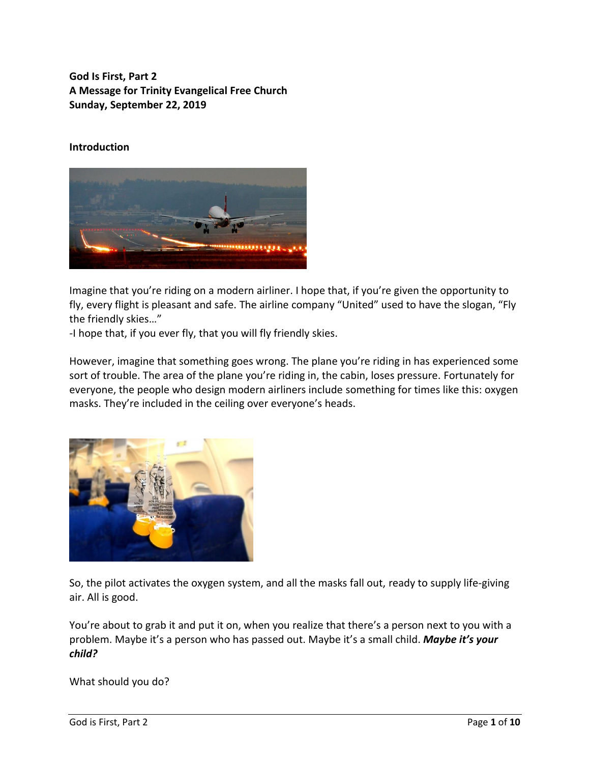**God Is First, Part 2 A Message for Trinity Evangelical Free Church Sunday, September 22, 2019**

### **Introduction**



Imagine that you're riding on a modern airliner. I hope that, if you're given the opportunity to fly, every flight is pleasant and safe. The airline company "United" used to have the slogan, "Fly the friendly skies…"

-I hope that, if you ever fly, that you will fly friendly skies.

However, imagine that something goes wrong. The plane you're riding in has experienced some sort of trouble. The area of the plane you're riding in, the cabin, loses pressure. Fortunately for everyone, the people who design modern airliners include something for times like this: oxygen masks. They're included in the ceiling over everyone's heads.



So, the pilot activates the oxygen system, and all the masks fall out, ready to supply life-giving air. All is good.

You're about to grab it and put it on, when you realize that there's a person next to you with a problem. Maybe it's a person who has passed out. Maybe it's a small child. *Maybe it's your child?*

What should you do?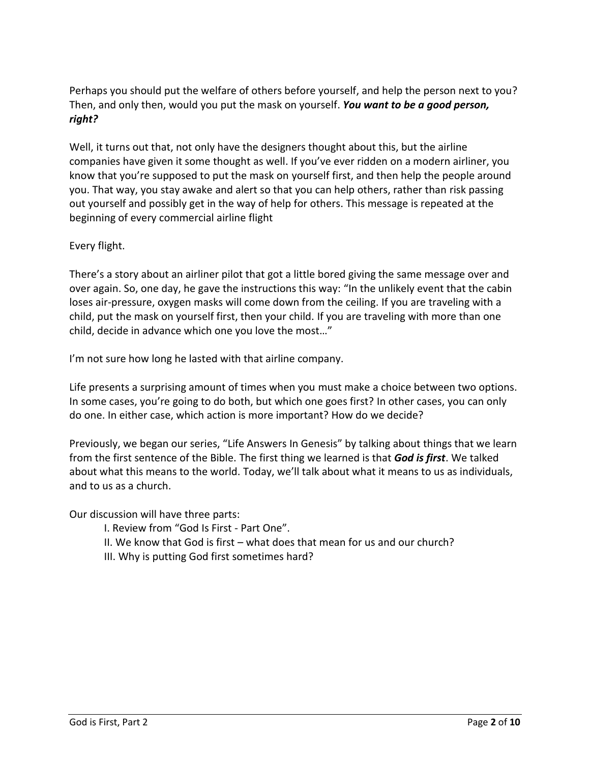Perhaps you should put the welfare of others before yourself, and help the person next to you? Then, and only then, would you put the mask on yourself. *You want to be a good person, right?*

Well, it turns out that, not only have the designers thought about this, but the airline companies have given it some thought as well. If you've ever ridden on a modern airliner, you know that you're supposed to put the mask on yourself first, and then help the people around you. That way, you stay awake and alert so that you can help others, rather than risk passing out yourself and possibly get in the way of help for others. This message is repeated at the beginning of every commercial airline flight

## Every flight.

There's a story about an airliner pilot that got a little bored giving the same message over and over again. So, one day, he gave the instructions this way: "In the unlikely event that the cabin loses air-pressure, oxygen masks will come down from the ceiling. If you are traveling with a child, put the mask on yourself first, then your child. If you are traveling with more than one child, decide in advance which one you love the most…"

I'm not sure how long he lasted with that airline company.

Life presents a surprising amount of times when you must make a choice between two options. In some cases, you're going to do both, but which one goes first? In other cases, you can only do one. In either case, which action is more important? How do we decide?

Previously, we began our series, "Life Answers In Genesis" by talking about things that we learn from the first sentence of the Bible. The first thing we learned is that *God is first*. We talked about what this means to the world. Today, we'll talk about what it means to us as individuals, and to us as a church.

Our discussion will have three parts:

- I. Review from "God Is First Part One".
- II. We know that God is first what does that mean for us and our church?
- III. Why is putting God first sometimes hard?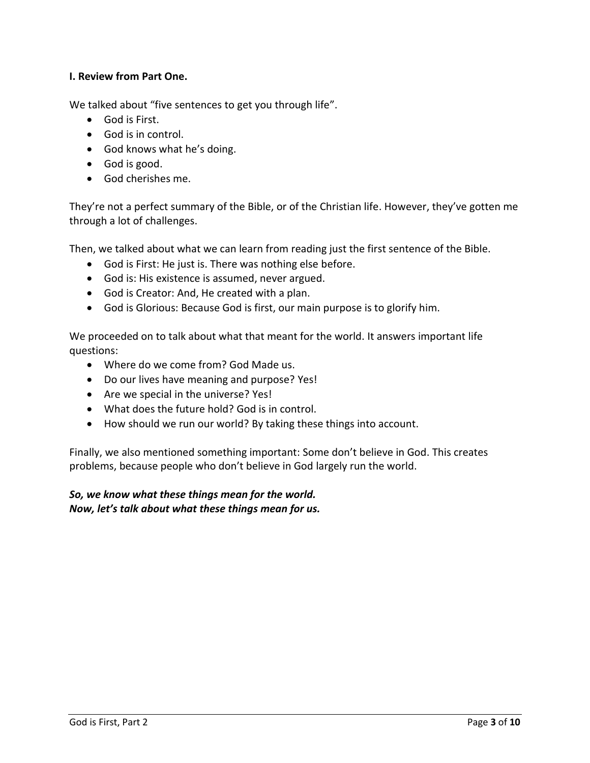## **I. Review from Part One.**

We talked about "five sentences to get you through life".

- God is First.
- God is in control.
- God knows what he's doing.
- God is good.
- God cherishes me.

They're not a perfect summary of the Bible, or of the Christian life. However, they've gotten me through a lot of challenges.

Then, we talked about what we can learn from reading just the first sentence of the Bible.

- God is First: He just is. There was nothing else before.
- God is: His existence is assumed, never argued.
- God is Creator: And, He created with a plan.
- God is Glorious: Because God is first, our main purpose is to glorify him.

We proceeded on to talk about what that meant for the world. It answers important life questions:

- Where do we come from? God Made us.
- Do our lives have meaning and purpose? Yes!
- Are we special in the universe? Yes!
- What does the future hold? God is in control.
- How should we run our world? By taking these things into account.

Finally, we also mentioned something important: Some don't believe in God. This creates problems, because people who don't believe in God largely run the world.

*So, we know what these things mean for the world. Now, let's talk about what these things mean for us.*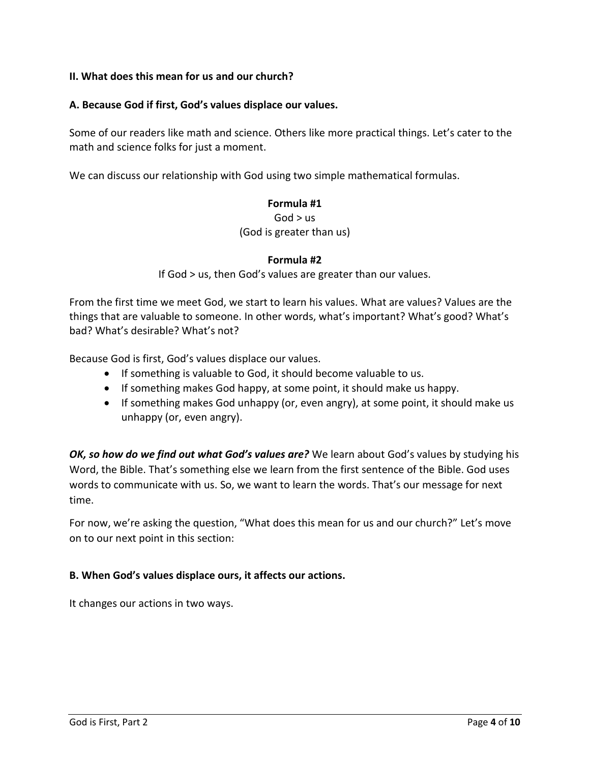### **II. What does this mean for us and our church?**

#### **A. Because God if first, God's values displace our values.**

Some of our readers like math and science. Others like more practical things. Let's cater to the math and science folks for just a moment.

We can discuss our relationship with God using two simple mathematical formulas.

### **Formula #1**

 $God > us$ 

(God is greater than us)

### **Formula #2**

If God > us, then God's values are greater than our values.

From the first time we meet God, we start to learn his values. What are values? Values are the things that are valuable to someone. In other words, what's important? What's good? What's bad? What's desirable? What's not?

Because God is first, God's values displace our values.

- If something is valuable to God, it should become valuable to us.
- If something makes God happy, at some point, it should make us happy.
- If something makes God unhappy (or, even angry), at some point, it should make us unhappy (or, even angry).

*OK, so how do we find out what God's values are?* We learn about God's values by studying his Word, the Bible. That's something else we learn from the first sentence of the Bible. God uses words to communicate with us. So, we want to learn the words. That's our message for next time.

For now, we're asking the question, "What does this mean for us and our church?" Let's move on to our next point in this section:

### **B. When God's values displace ours, it affects our actions.**

It changes our actions in two ways.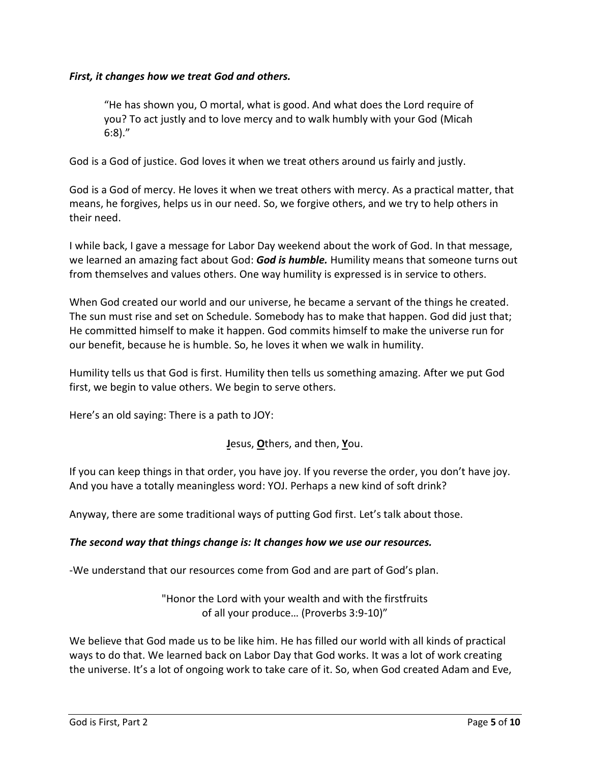## *First, it changes how we treat God and others.*

"He has shown you, O mortal, what is good. And what does the Lord require of you? To act justly and to love mercy and to walk humbly with your God (Micah 6:8)."

God is a God of justice. God loves it when we treat others around us fairly and justly.

God is a God of mercy. He loves it when we treat others with mercy. As a practical matter, that means, he forgives, helps us in our need. So, we forgive others, and we try to help others in their need.

I while back, I gave a message for Labor Day weekend about the work of God. In that message, we learned an amazing fact about God: *God is humble.* Humility means that someone turns out from themselves and values others. One way humility is expressed is in service to others.

When God created our world and our universe, he became a servant of the things he created. The sun must rise and set on Schedule. Somebody has to make that happen. God did just that; He committed himself to make it happen. God commits himself to make the universe run for our benefit, because he is humble. So, he loves it when we walk in humility.

Humility tells us that God is first. Humility then tells us something amazing. After we put God first, we begin to value others. We begin to serve others.

Here's an old saying: There is a path to JOY:

**J**esus, **O**thers, and then, **Y**ou.

If you can keep things in that order, you have joy. If you reverse the order, you don't have joy. And you have a totally meaningless word: YOJ. Perhaps a new kind of soft drink?

Anyway, there are some traditional ways of putting God first. Let's talk about those.

### *The second way that things change is: It changes how we use our resources.*

-We understand that our resources come from God and are part of God's plan.

"Honor the Lord with your wealth and with the firstfruits of all your produce… (Proverbs 3:9-10)"

We believe that God made us to be like him. He has filled our world with all kinds of practical ways to do that. We learned back on Labor Day that God works. It was a lot of work creating the universe. It's a lot of ongoing work to take care of it. So, when God created Adam and Eve,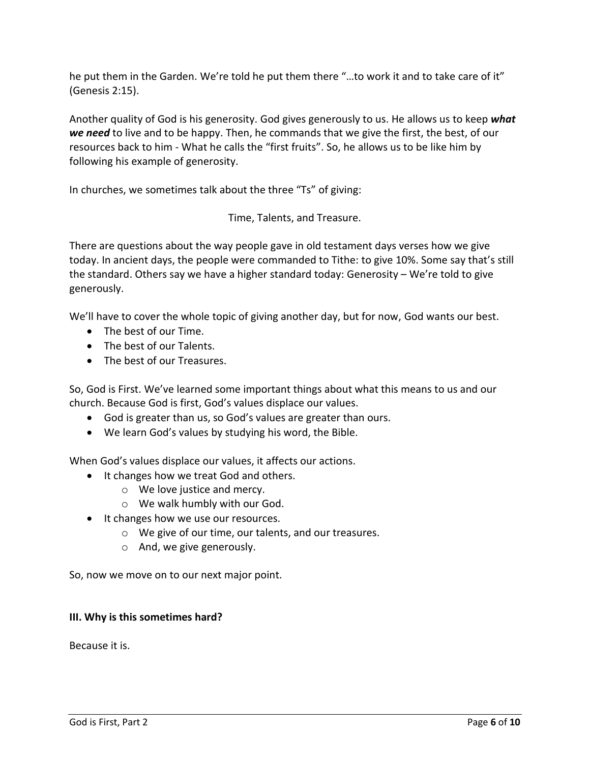he put them in the Garden. We're told he put them there "…to work it and to take care of it" (Genesis 2:15).

Another quality of God is his generosity. God gives generously to us. He allows us to keep *what we need* to live and to be happy. Then, he commands that we give the first, the best, of our resources back to him - What he calls the "first fruits". So, he allows us to be like him by following his example of generosity.

In churches, we sometimes talk about the three "Ts" of giving:

Time, Talents, and Treasure.

There are questions about the way people gave in old testament days verses how we give today. In ancient days, the people were commanded to Tithe: to give 10%. Some say that's still the standard. Others say we have a higher standard today: Generosity – We're told to give generously.

We'll have to cover the whole topic of giving another day, but for now, God wants our best.

- The best of our Time.
- The best of our Talents.
- The best of our Treasures.

So, God is First. We've learned some important things about what this means to us and our church. Because God is first, God's values displace our values.

- God is greater than us, so God's values are greater than ours.
- We learn God's values by studying his word, the Bible.

When God's values displace our values, it affects our actions.

- It changes how we treat God and others.
	- o We love justice and mercy.
	- o We walk humbly with our God.
- It changes how we use our resources.
	- o We give of our time, our talents, and our treasures.
	- o And, we give generously.

So, now we move on to our next major point.

## **III. Why is this sometimes hard?**

Because it is.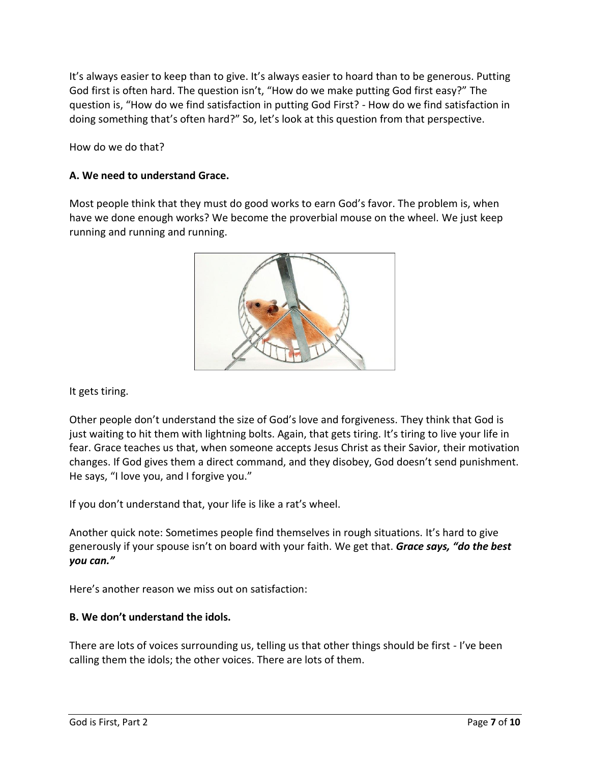It's always easier to keep than to give. It's always easier to hoard than to be generous. Putting God first is often hard. The question isn't, "How do we make putting God first easy?" The question is, "How do we find satisfaction in putting God First? - How do we find satisfaction in doing something that's often hard?" So, let's look at this question from that perspective.

How do we do that?

## **A. We need to understand Grace.**

Most people think that they must do good works to earn God's favor. The problem is, when have we done enough works? We become the proverbial mouse on the wheel. We just keep running and running and running.



It gets tiring.

Other people don't understand the size of God's love and forgiveness. They think that God is just waiting to hit them with lightning bolts. Again, that gets tiring. It's tiring to live your life in fear. Grace teaches us that, when someone accepts Jesus Christ as their Savior, their motivation changes. If God gives them a direct command, and they disobey, God doesn't send punishment. He says, "I love you, and I forgive you."

If you don't understand that, your life is like a rat's wheel.

Another quick note: Sometimes people find themselves in rough situations. It's hard to give generously if your spouse isn't on board with your faith. We get that. *Grace says, "do the best you can."*

Here's another reason we miss out on satisfaction:

## **B. We don't understand the idols.**

There are lots of voices surrounding us, telling us that other things should be first - I've been calling them the idols; the other voices. There are lots of them.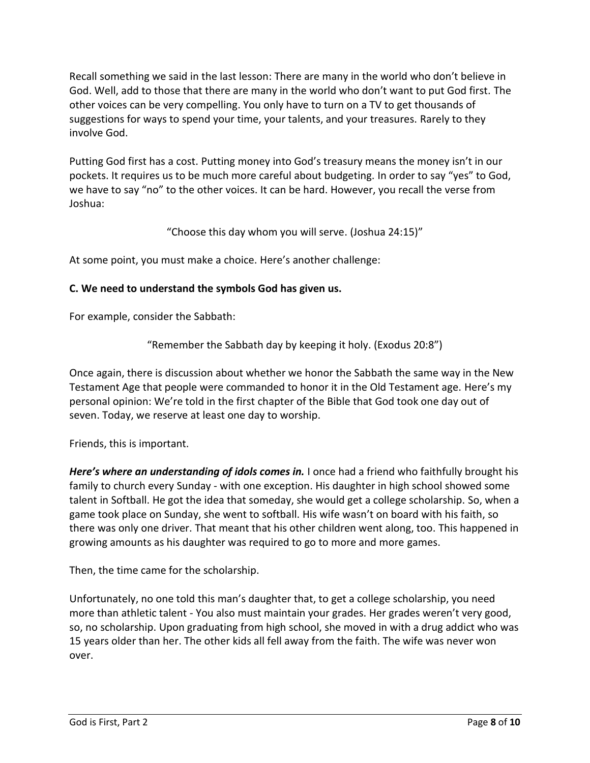Recall something we said in the last lesson: There are many in the world who don't believe in God. Well, add to those that there are many in the world who don't want to put God first. The other voices can be very compelling. You only have to turn on a TV to get thousands of suggestions for ways to spend your time, your talents, and your treasures. Rarely to they involve God.

Putting God first has a cost. Putting money into God's treasury means the money isn't in our pockets. It requires us to be much more careful about budgeting. In order to say "yes" to God, we have to say "no" to the other voices. It can be hard. However, you recall the verse from Joshua:

"Choose this day whom you will serve. (Joshua 24:15)"

At some point, you must make a choice. Here's another challenge:

## **C. We need to understand the symbols God has given us.**

For example, consider the Sabbath:

"Remember the Sabbath day by keeping it holy. (Exodus 20:8")

Once again, there is discussion about whether we honor the Sabbath the same way in the New Testament Age that people were commanded to honor it in the Old Testament age. Here's my personal opinion: We're told in the first chapter of the Bible that God took one day out of seven. Today, we reserve at least one day to worship.

Friends, this is important.

*Here's where an understanding of idols comes in.* I once had a friend who faithfully brought his family to church every Sunday - with one exception. His daughter in high school showed some talent in Softball. He got the idea that someday, she would get a college scholarship. So, when a game took place on Sunday, she went to softball. His wife wasn't on board with his faith, so there was only one driver. That meant that his other children went along, too. This happened in growing amounts as his daughter was required to go to more and more games.

Then, the time came for the scholarship.

Unfortunately, no one told this man's daughter that, to get a college scholarship, you need more than athletic talent - You also must maintain your grades. Her grades weren't very good, so, no scholarship. Upon graduating from high school, she moved in with a drug addict who was 15 years older than her. The other kids all fell away from the faith. The wife was never won over.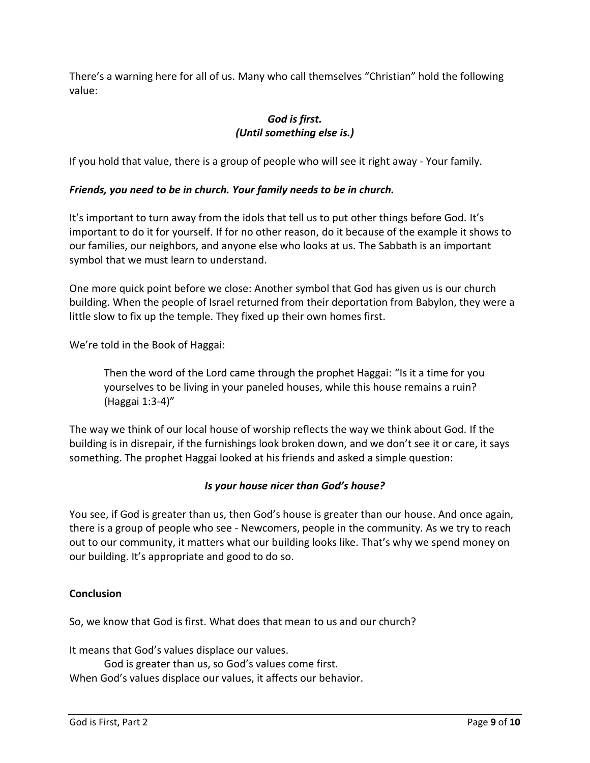There's a warning here for all of us. Many who call themselves "Christian" hold the following value:

# *God is first. (Until something else is.)*

If you hold that value, there is a group of people who will see it right away - Your family.

## *Friends, you need to be in church. Your family needs to be in church.*

It's important to turn away from the idols that tell us to put other things before God. It's important to do it for yourself. If for no other reason, do it because of the example it shows to our families, our neighbors, and anyone else who looks at us. The Sabbath is an important symbol that we must learn to understand.

One more quick point before we close: Another symbol that God has given us is our church building. When the people of Israel returned from their deportation from Babylon, they were a little slow to fix up the temple. They fixed up their own homes first.

We're told in the Book of Haggai:

Then the word of the Lord came through the prophet Haggai: "Is it a time for you yourselves to be living in your paneled houses, while this house remains a ruin? (Haggai 1:3-4)"

The way we think of our local house of worship reflects the way we think about God. If the building is in disrepair, if the furnishings look broken down, and we don't see it or care, it says something. The prophet Haggai looked at his friends and asked a simple question:

## *Is your house nicer than God's house?*

You see, if God is greater than us, then God's house is greater than our house. And once again, there is a group of people who see - Newcomers, people in the community. As we try to reach out to our community, it matters what our building looks like. That's why we spend money on our building. It's appropriate and good to do so.

### **Conclusion**

So, we know that God is first. What does that mean to us and our church?

It means that God's values displace our values.

God is greater than us, so God's values come first.

When God's values displace our values, it affects our behavior.